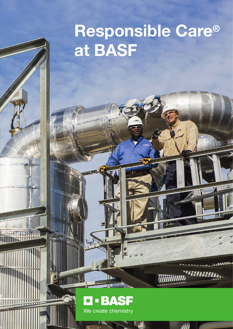# Responsible Care® at BASF



WWW. WARD BALLARD

iiii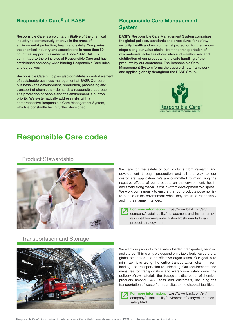Responsible Care is a voluntary initiative of the chemical industry to continuously improve in the areas of environmental protection, health and safety. Companies in the chemical industry and associations in more than 50 countries support this initiative. Since 1992, BASF is committed to the principles of Responsible Care and has established company-wide binding Responsible Care rules and objectives.

Responsible Care principles also constitute a central element of sustainable business management at BASF. Our core business – the development, production, processing and transport of chemicals – demands a responsible approach. The protection of people and the environment is our top priority. We systematically address risks with a comprehensive Responsible Care Management System, which is constantly being further developed.

### Responsible Care® at BASF Responsible Care Management System

BASF's Responsible Care Management System comprises the global policies, standards and procedures for safety, security, health and environmental protection for the various steps along our value chain – from the transportation of raw materials, activities at our sites and warehouses, and distribution of our products to the safe handling of the products by our customers. The Responsible Care Management System forms the superordinate framework and applies globally throughout the BASF Group.



## Responsible Care codes

#### Product Stewardship



We care for the safety of our products from research and development through production and all the way to our customers' application. We are committed to minimizing the negative effects of our products on the environment, health and safety along the value chain – from development to disposal. We work continuously to ensure that our products pose no risk to people or the environment when they are used responsibly and in the manner intended.

error-note-Fehlermeldung External-link-External-link-External-link-External-link-External-link-External-link-External-link-External-link-External-link-External-link-External-link-External-link-External-link-External-link-E For more information: https://www.basf.com/en/ company/sustainability/management-and-instruments/ product-strategy.html

Transportation and Storage External-Links-External-Links-External-Link Help-Hilfe-Hilfe-Hilfe-Hilfe-Hilfe-Hilfe-



products among BASF sites and customers, including the products among EXTERNAL-Link Help-Hilfe and customers, including the minimize risks along the entire transportation chain – from We want our products to be safely loaded, transported, handled and stored. This is why we depend on reliable logistics partners, global standards and an effective organization. Our goal is to loading and transportation to unloading. Our requirements and measures for transportation and warehouse safety cover the delivery of raw materials, the storage and distribution of chemical transportation of waste from our sites to the disposal facilities.

> For more information: https://www.basf.com/en/ company/sustainability/environment/safety/distributionsafety.html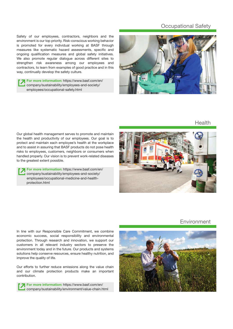#### Occupational Safety

Safety of our employees, contractors, neighbors and the environment is our top priority. Risk-conscious working behavior is promoted for every individual working at BASF through measures like systematic hazard assessments, specific and ongoing qualification measures and global safety initiatives. We also promote regular dialogue across different sites to strengthen risk awareness among our employees and contractors, to learn from examples of good practice and in this way, continually develop the safety culture.

For more information: https://www.basf.com/en/ company/sustainability/employees-and-society/ employees/occupational-safety.html



Health

Our global health management serves to promote and maintain the health and productivity of our employees. Our goal is to protect and maintain each employee's health at the workplace and to assist in assuring that BASF products do not pose health risks to employees, customers, neighbors or consumers when handled properly. Our vision is to prevent work-related diseases to the greatest extent possible.

For more information: https://www.basf.com/en/ company/sustainability/employees-and-society/ employees/occupational-medicine-and-healthprotection.html



#### **Environment**

In line with our Responsible Care Commitment, we combine economic success, social responsibility and environmental protection. Through research and innovation, we support our customers in all relevant industry sectors to preserve the environment today and in the future. Our products and systems solutions help conserve resources, ensure healthy nutrition, and improve the quality of life. Edit-Bearbeiten Error-note-Fehlermeldung External-link-Externer-Link Help-Hilfe

> Our efforts to further reduce emissions along the value chain and our climate protection products make an important contribution.

For more information: https://www.basf.com/en/ company/sustainability/environment/value-chain.html